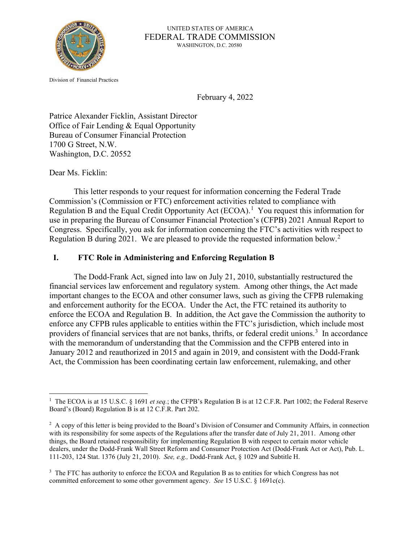

 UNITED STATES OF AMERICA FEDERAL TRADE COMMISSION WASHINGTON, D.C. 20580

Division of Financial Practices

February 4, 2022

Patrice Alexander Ficklin, Assistant Director Office of Fair Lending & Equal Opportunity Bureau of Consumer Financial Protection 1700 G Street, N.W. Washington, D.C. 20552

Dear Ms. Ficklin:

This letter responds to your request for information concerning the Federal Trade Commission's (Commission or FTC) enforcement activities related to compliance with Regulation B and the Equal Credit Opportunity Act  $(ECOA)^1$  $(ECOA)^1$  You request this information for use in preparing the Bureau of Consumer Financial Protection's (CFPB) 2021 Annual Report to Congress. Specifically, you ask for information concerning the FTC's activities with respect to Regulation B during 2021. We are pleased to provide the requested information below.[2](#page-0-1)

## **I. FTC Role in Administering and Enforcing Regulation B**

The Dodd-Frank Act, signed into law on July 21, 2010, substantially restructured the financial services law enforcement and regulatory system. Among other things, the Act made important changes to the ECOA and other consumer laws, such as giving the CFPB rulemaking and enforcement authority for the ECOA. Under the Act, the FTC retained its authority to enforce the ECOA and Regulation B. In addition, the Act gave the Commission the authority to enforce any CFPB rules applicable to entities within the FTC's jurisdiction, which include most providers of financial services that are not banks, thrifts, or federal credit unions.<sup>[3](#page-0-2)</sup> In accordance with the memorandum of understanding that the Commission and the CFPB entered into in January 2012 and reauthorized in 2015 and again in 2019, and consistent with the Dodd-Frank Act, the Commission has been coordinating certain law enforcement, rulemaking, and other

<span id="page-0-0"></span><sup>&</sup>lt;sup>1</sup> The ECOA is at 15 U.S.C. § 1691 *et seq*.; the CFPB's Regulation B is at 12 C.F.R. Part 1002; the Federal Reserve Board's (Board) Regulation B is at 12 C.F.R. Part 202.

<span id="page-0-1"></span><sup>&</sup>lt;sup>2</sup> A copy of this letter is being provided to the Board's Division of Consumer and Community Affairs, in connection with its responsibility for some aspects of the Regulations after the transfer date of July 21, 2011. Among other things, the Board retained responsibility for implementing Regulation B with respect to certain motor vehicle dealers, under the Dodd-Frank Wall Street Reform and Consumer Protection Act (Dodd-Frank Act or Act), Pub. L. 111-203, 124 Stat. 1376 (July 21, 2010). *See, e.g.,* Dodd-Frank Act, § 1029 and Subtitle H.

<span id="page-0-2"></span><sup>&</sup>lt;sup>3</sup> The FTC has authority to enforce the ECOA and Regulation B as to entities for which Congress has not committed enforcement to some other government agency. *See* 15 U.S.C. § 1691c(c).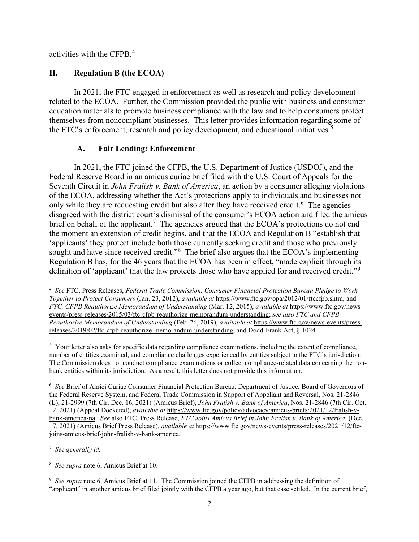activities with the CFPB.<sup>[4](#page-1-0)</sup>

## **II. Regulation B (the ECOA)**

In 2021, the FTC engaged in enforcement as well as research and policy development related to the ECOA. Further, the Commission provided the public with business and consumer education materials to promote business compliance with the law and to help consumers protect themselves from noncompliant businesses. This letter provides information regarding some of the FTC's enforcement, research and policy development, and educational initiatives.<sup>[5](#page-1-1)</sup>

## **A. Fair Lending: Enforcement**

In 2021, the FTC joined the CFPB, the U.S. Department of Justice (USDOJ), and the Federal Reserve Board in an amicus curiae brief filed with the U.S. Court of Appeals for the Seventh Circuit in *John Fralish v. Bank of America*, an action by a consumer alleging violations of the ECOA, addressing whether the Act's protections apply to individuals and businesses not only while they are requesting credit but also after they have received credit.<sup>[6](#page-1-2)</sup> The agencies disagreed with the district court's dismissal of the consumer's ECOA action and filed the amicus brief on behalf of the applicant.<sup>[7](#page-1-3)</sup> The agencies argued that the ECOA's protections do not end the moment an extension of credit begins, and that the ECOA and Regulation B "establish that 'applicants' they protect include both those currently seeking credit and those who previously sought and have since received credit."<sup>[8](#page-1-4)</sup> The brief also argues that the ECOA's implementing Regulation B has, for the 46 years that the ECOA has been in effect, "made explicit through its definition of 'applicant' that the law protects those who have applied for and received credit."<sup>[9](#page-1-5)</sup>

<span id="page-1-1"></span> $5$  Your letter also asks for specific data regarding compliance examinations, including the extent of compliance, number of entities examined, and compliance challenges experienced by entities subject to the FTC's jurisdiction. The Commission does not conduct compliance examinations or collect compliance-related data concerning the nonbank entities within its jurisdiction. As a result, this letter does not provide this information.

<span id="page-1-2"></span><sup>6</sup> *See* Brief of Amici Curiae Consumer Financial Protection Bureau, Department of Justice, Board of Governors of the Federal Reserve System, and Federal Trade Commission in Support of Appellant and Reversal, Nos. 21-2846 (L), 21-2999 (7th Cir. Dec. 16, 2021) (Amicus Brief), *John Fralish v. Bank of America*, Nos. 21-2846 (7th Cir. Oct. 12, 2021) (Appeal Docketed), *available at* https://www.ftc.gov/policy/advocacy/amicus-briefs/2021/12/fralish-vbank-america-na. *See* also FTC, Press Release, *FTC Joins Amicus Brief in John Fralish v. Bank of America*, (Dec. 17, 2021) (Amicus Brief Press Release), *available at* https://www.ftc.gov/news-events/press-releases/2021/12/ftcjoins-amicus-brief-john-fralish-v-bank-america.

<span id="page-1-3"></span><sup>7</sup> *See generally id.*

<span id="page-1-4"></span><sup>8</sup> *See supra* note 6, Amicus Brief at 10.

<span id="page-1-5"></span><sup>9</sup> See supra note 6, Amicus Brief at 11. The Commission joined the CFPB in addressing the definition of "applicant" in another amicus brief filed jointly with the CFPB a year ago, but that case settled. In the current brief,

<span id="page-1-0"></span><sup>4</sup> *See* FTC, Press Releases, *Federal Trade Commission, Consumer Financial Protection Bureau Pledge to Work Together to Protect Consumers* (Jan. 23, 2012), *available at* https://www.ftc.gov/opa/2012/01/ftccfpb.shtm, and *FTC, CFPB Reauthorize Memorandum of Understanding* (Mar. 12, 2015), *available at* https://www.ftc.gov/newsevents/press-releases/2015/03/ftc-cfpb-reauthorize-memorandum-understanding; *see also FTC and CFPB Reauthorize Memorandum of Understanding* (Feb. 26, 2019), *available at* https://www.ftc.gov/news-events/pressreleases/2019/02/ftc-cfpb-reauthorize-memorandum-understanding, and Dodd-Frank Act, § 1024.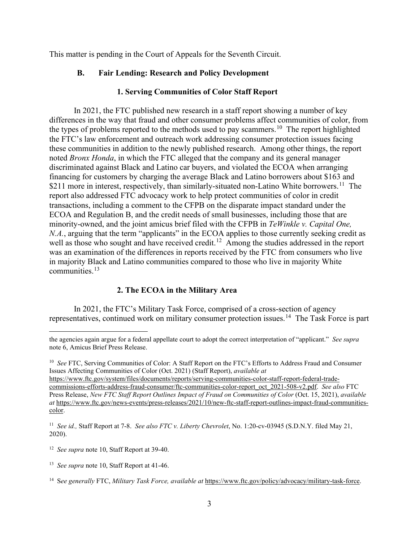This matter is pending in the Court of Appeals for the Seventh Circuit.

## **B. Fair Lending: Research and Policy Development**

## **1. Serving Communities of Color Staff Report**

In 2021, the FTC published new research in a staff report showing a number of key differences in the way that fraud and other consumer problems affect communities of color, from the types of problems reported to the methods used to pay scammers.<sup>10</sup> The report highlighted the FTC's law enforcement and outreach work addressing consumer protection issues facing these communities in addition to the newly published research. Among other things, the report noted *Bronx Honda*, in which the FTC alleged that the company and its general manager discriminated against Black and Latino car buyers, and violated the ECOA when arranging financing for customers by charging the average Black and Latino borrowers about \$163 and \$2[11](#page-2-1) more in interest, respectively, than similarly-situated non-Latino White borrowers.<sup>11</sup> The report also addressed FTC advocacy work to help protect communities of color in credit transactions, including a comment to the CFPB on the disparate impact standard under the ECOA and Regulation B, and the credit needs of small businesses, including those that are minority-owned, and the joint amicus brief filed with the CFPB in *TeWinkle v. Capital One, N.A.*, arguing that the term "applicants" in the ECOA applies to those currently seeking credit as well as those who sought and have received credit.<sup>[12](#page-2-2)</sup> Among the studies addressed in the report was an examination of the differences in reports received by the FTC from consumers who live in majority Black and Latino communities compared to those who live in majority White communities.[13](#page-2-3)

# **2. The ECOA in the Military Area**

In 2021, the FTC's Military Task Force, comprised of a cross-section of agency representatives, continued work on military consumer protection issues.<sup>[14](#page-2-4)</sup> The Task Force is part

the agencies again argue for a federal appellate court to adopt the correct interpretation of "applicant." *See supra*  note 6, Amicus Brief Press Release.

<span id="page-2-0"></span><sup>10</sup> *See* FTC, Serving Communities of Color: A Staff Report on the FTC's Efforts to Address Fraud and Consumer Issues Affecting Communities of Color (Oct. 2021) (Staff Report), *available at* 

https://www.ftc.gov/system/files/documents/reports/serving-communities-color-staff-report-federal-tradecommissions-efforts-address-fraud-consumer/ftc-communities-color-report\_oct\_2021-508-v2.pdf. *See also* FTC Press Release, *New FTC Staff Report Outlines Impact of Fraud on Communities of Color* (Oct. 15, 2021), *available at* https://www.ftc.gov/news-events/press-releases/2021/10/new-ftc-staff-report-outlines-impact-fraud-communitiescolor.

<span id="page-2-1"></span><sup>11</sup> *See id.,* Staff Report at 7-8. *See also FTC v. Liberty Chevrolet*, No. 1:20-cv-03945 (S.D.N.Y. filed May 21, 2020).

<span id="page-2-2"></span><sup>12</sup> *See supra* note 10, Staff Report at 39-40.

<span id="page-2-3"></span><sup>13</sup> *See supra* note 10, Staff Report at 41-46.

<span id="page-2-4"></span><sup>14</sup> S*ee generally* FTC, *Military Task Force, available at* https://www.ftc.gov/policy/advocacy/military-task-force.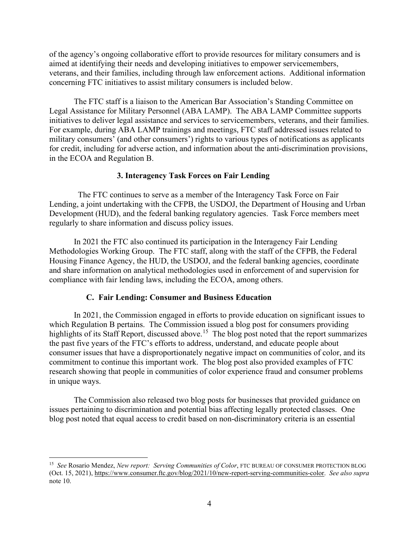of the agency's ongoing collaborative effort to provide resources for military consumers and is aimed at identifying their needs and developing initiatives to empower servicemembers, veterans, and their families, including through law enforcement actions. Additional information concerning FTC initiatives to assist military consumers is included below.

The FTC staff is a liaison to the American Bar Association's Standing Committee on Legal Assistance for Military Personnel (ABA LAMP). The ABA LAMP Committee supports initiatives to deliver legal assistance and services to servicemembers, veterans, and their families. For example, during ABA LAMP trainings and meetings, FTC staff addressed issues related to military consumers' (and other consumers') rights to various types of notifications as applicants for credit, including for adverse action, and information about the anti-discrimination provisions, in the ECOA and Regulation B.

### **3. Interagency Task Forces on Fair Lending**

The FTC continues to serve as a member of the Interagency Task Force on Fair Lending, a joint undertaking with the CFPB, the USDOJ, the Department of Housing and Urban Development (HUD), and the federal banking regulatory agencies. Task Force members meet regularly to share information and discuss policy issues.

In 2021 the FTC also continued its participation in the Interagency Fair Lending Methodologies Working Group. The FTC staff, along with the staff of the CFPB, the Federal Housing Finance Agency, the HUD, the USDOJ, and the federal banking agencies, coordinate and share information on analytical methodologies used in enforcement of and supervision for compliance with fair lending laws, including the ECOA, among others.

#### **C. Fair Lending: Consumer and Business Education**

In 2021, the Commission engaged in efforts to provide education on significant issues to which Regulation B pertains. The Commission issued a blog post for consumers providing highlights of its Staff Report, discussed above.<sup>[15](#page-3-0)</sup> The blog post noted that the report summarizes the past five years of the FTC's efforts to address, understand, and educate people about consumer issues that have a disproportionately negative impact on communities of color, and its commitment to continue this important work. The blog post also provided examples of FTC research showing that people in communities of color experience fraud and consumer problems in unique ways.

The Commission also released two blog posts for businesses that provided guidance on issues pertaining to discrimination and potential bias affecting legally protected classes. One blog post noted that equal access to credit based on non-discriminatory criteria is an essential

<span id="page-3-0"></span><sup>15</sup> *See* Rosario Mendez, *New report: Serving Communities of Color*, FTC BUREAU OF CONSUMER PROTECTION BLOG (Oct. 15, 2021), https://www.consumer.ftc.gov/blog/2021/10/new-report-serving-communities-color. *See also supra*  note 10.